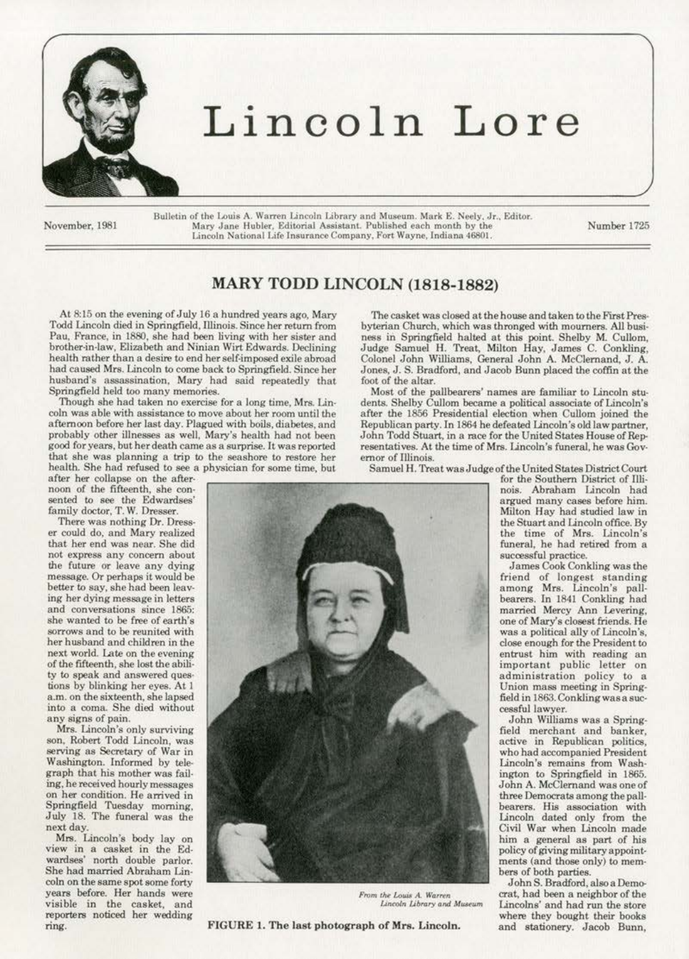

## **Lincoln Lore**

November, 1981

Bulletin of the Louis A. Warren Lincoln Library and Museum. Mark E. Neely, Jr., Editor. Mary Jane Hubler, Editorial Assistant. Published each month by the Lincoln National Life Insurance Company. Fort Wayne, Indiana 46801.

Number 1725

## **MARY TODD LINCOLN (1818-1882)**

At 8:15 on the evening of July 16 a hundred years ago, Mary The casket was closed at the house and taken to the First Pres-<br>Add Lincoln died in Springfield, Illinois. Since her return from byterian Church, which was throng Todd Lincoln died in Springfield, Illinois. Since her return from<br>Pau, France, in 1880, she had been living with her sister and Pau, Prance, in 1880, she had been living with her sister and ness in Springfield halted at this point. Shelby M. Cullom, brother-in-law, Elizabeth and Ninian Wirt Edwards. Declining Judge Samuel H. Treat, Milton Hay, James C. Conkling,<br>health rather than a desire to end her self-imposed exile abroad Colonel John Williams, General John A. McC had caused Mrs. Lincoln to come back to Springfield. Since her Jones, J. S. Braden, husband's assassination. Mary had said repeatedly that foot of the altar. husband's assassination, Mary had said repeatedly that Springfield held too many memories.

afternoon before her last day. Plagued with boils, diabetes, and probably other illnesses as well, Mary's health had not been probably other illnesses as well, Mary's health had not been John Todd Stuart, in a race for the United States House of Rep-<br>good for years, but her death came as a surprise. It was reported resentatives. At the time of Mr good for years, but her death came as a surprise. It was reported resentatives. At the time of Mrs. Lincoln's funeral, he was Gov-<br>that she was planning a trip to the seashore to restore her ernor of Illinois.<br>health. She

view in a casket in the Ed-<br>wardses' north double parlor. **visible in the casket, and <b>Lincoln Lincoln** Universe *Lincoln Library* and Museum **Lincolns'** and had run the store **reporters** noticed her wedding **where** they bought their books

Colonel John Williams, General John A. McClernand, J. A.<br>Jones, J. S. Bradford, and Jacob Bunn placed the coffin at the

**Springfield hcld** *too* **many memories. Most of the pallbearers' names are familiar to Lincoln atu·**  Though she had taken no exercise for a long time, Mrs. Lin-<br>coln was able with assistance to move about her room until the after the 1856 Presidential election when Cullom joined the after the 1856 Presidential election when Cullom joined the Republican party. In 1864 he defeated Lincoln's old law partner,



ring. FIGURE 1. The last pbotograph of Mrs. Lincoln. and stationery. Jacob Bunn,

health. She had refused to see a physician for some time, but<br>after her collapse on the after-<br>noon of the fifteenth, she con-<br>noon of the fifteenth, she con-

 $administration$  policy to a

field merchant and banker, who had accompanied President him a general as part of his<br>policy of giving military appoint-

From the Louis A. Warren *Crat, had been a neighbor of the Louis A. Warren**Crat, had been a neighbor of the**store* where they bought their books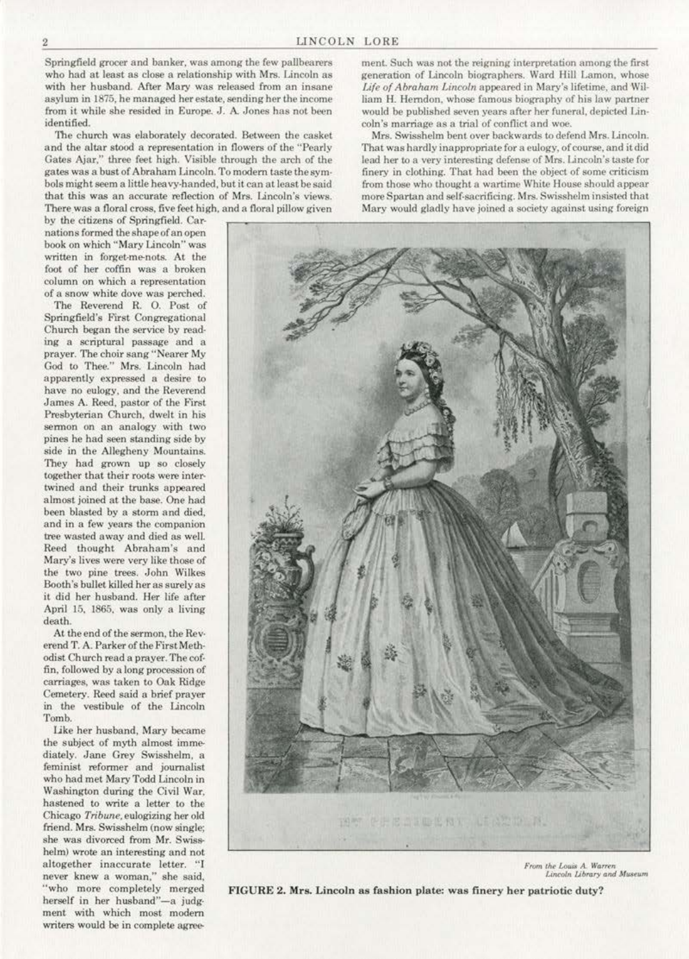Springfield grocer and banker, was among the few pallbearers who had at least as close a relationship with Mrs. Lincoln as with her husband. After Mary was released from an insane asylum in 1875, he managed her estate, sending her the income from it while she resided in Europe. J. A Jones has not been identified.

The church was elaborately decorated. Between the casket and the altar stood a representation in flowers of the "Pearly Gates Ajar," three feet high. Visible through the arch of the gates was a bust of Abraham Lincoln. To modern taste the symbols might seem a little heavy-handed, but it can at least be said that this was an accurate reflection of Mrs. Lincoln's views.

book on which • 1 Mary Lincoln" was written in forget-me-nots. At the foot of her coffin was a broken column on which a representation of a snow white dove was perched.

The Reverend R. 0. Post of Springfield's First Congregational Church began the service by read· ing a scriptural passage and a prayer. The choir sang "Nearer My God to Thee." Mrs. Lincoln had apparently expressed a desire to have no eulogy, and the Reverend James A. Reed. pastor of the First Presbyterian Church, dwelt in his sennon on an analogy with two pines he had seen standing side by side in the AJiegheny Mountains. They had grown up so closely together that their roots were intertwined and their trunks appeared almost joined at the base. One had been blasted by a storm and died. and in a few years the companion tree wasted away and died as well. Reed thought Abraham's and Mary's lives were very like those of the two pine trees. John Wilkes Booth's bullet killed her as surely as it did her husband. Her life after April 15. 1865. was only a living death.

At the end of the sermon. the Rev· erend T. A. Parker of the First Methodist Church read a prayer. The cof· fin, followed by along procession of carriages, was taken to Oak Ridge Cemetery. Reed said a brier prayer in the vestibule of the lincoln Tomb.

like her husband. Mary became the subject of myth almost immediately. Jane Grey Swisshelm, a feminist reformer and journalist who had met Mary Todd Lincoln in Washington during the Civil War, hastened to write a letter to the Chicago *Tribune*, eulogizing her old friend. Mrs. Swisshelm (now single; she was divorced from Mr. Swisshelm) wrote an interesting and not altogether inaccurate letter. "I never knew a woman.'' she said, ''who more completely merged herself in her husband"-a judgment with which most modem writers would be in complete agreement. Such was not the reigning interpretation among the first generation of Lincoln biographers. Ward Hill Lamon, whose Life of Abraham Lincoln appeared in Mary's lifetime, and William H. Herndon. whose famous biography of his law partner would be published seven years after her funeral, depicted Lin· coln's marriage as a trial of conflict and woe.

Mrs. Swisshelm bent over backwards to defend Mrs. Lincoln. That was hardly inappropriate for a eulogy. of course, and it did lead her to a very interesting defense of Mrs. Lincoln's taste for finery in clothing. That had been the *object.* of some criticism from those who thought a wartime White House should appear more Spartan and self-sacrificing. Mrs. Swisshelm insisted that Mary would gladly have joined a society against using foreign



 $From the Louis A. Warren  
\nLinear and Museum$ 

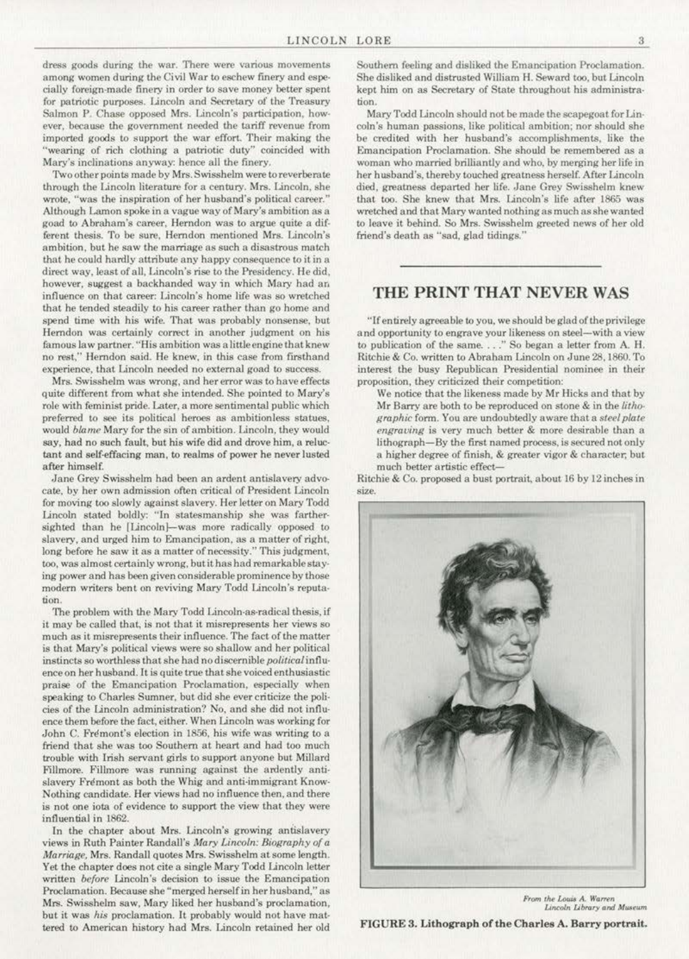dress goods during the war. There were various movements among women during the Civil War to eschew finery and espeeially foreign·made finery in order to save money better spent for patriotic purposes. Lincoln and Secretary of the Treasury Salmon P. Chase opposed Mrs. Lincoln's participation, however, because the government needed the tariff revenue from imported goods to support the war effort. Their making the "wearing of rich clothing a patriotic duty" coincided with Mary's inclinations anyway: hence all the finery.

1Wo other points made by Mrs. Swisshelm were to reverberate through the Lincoln literature for a century. Mrs. Lincoln, she wrote, "was the inspiration of her husband's political career." Although Lamon spoke in a vague way of Mary's ambition as a goad to Abraham's career, Herndon was to argue quite a different thesis. To be sure, Herndon mentioned Mrs. Lincoln's ambition, but he saw the marriage as such a disastrous match that he could hardly attribute any happy consequence to it in a direct way. least of all. Lincoln's rise to the Presidency. He did. however, suggest a backhanded way in which Mary had an influence on that career: Lincoln's home life was so wretched that he tended steadily to his career rather than go home and spend time with his wife. That was probably nonsense, but Hemdon was certainly correct in another judgment on his famous law partner. "His ambition was a little engine that knew no rest," Herndon said. He knew, in this case from firsthand experience, that Lincoln needed no external goad to success.

Mrs. Swisshelm was wrong. and her error was to have effects quite different from what she intended. She pointed to Mary's role with feminist pride. Later. a more sentimental public which preferred to see its political heroes as ambitionless statues, would *blame* Mary for the sin of ambition. Lincoln. they would say, had no such fault, but his wife did and drove him, a relue· tant and self-effacing man, to realms of power he never lusted after himself.

Jane Grey Swisshelm had been an ardent antislavery advocate. by her own admission often critical of President Lincoln for moving too slowly against slavery. Her letter on Mary Todd Lincoln stated boldly: "In statesmanship she was farthersighted than he [Lincoln]-was more radically opposed to slavery, and urged him to Emancipation, as a matter of right, long before he saw it as a matter of necessity." This judgment, too, was almost certainly wrong, but it has had remarkable staying power and has been given considerable prominence by those modern writers bent on reviving Mary Todd Lincoln's reputation.

The problem with the Mary Todd Lincoln-as-radical thesis, if it may be called that, is not that it misrepresents *her* views so much as it misrepresents their influence. The fact of the matter is that Mary's political views were so shallow and her political instincts so worthless that she had no discernible political influeneeon her husband. It is quite true that she voiced enthusiastic praise of the Emancipation Proclamation, especially when speaking to Charles Sumner, but did she ever criticize the poli· cies of the Lincoln administration? No. and she did not influ· ence them before the fact, either. When Lincoln was working for John C. Frémont's election in 1856, his wife was writing to a friend that she was too Southern at heart and had too much trouble with Irish servant girts to support anyone but Millard Fillmore. Fillmore was running against the ardently antislavery Frémont as both the Whig and anti-immigrant Know-Nothing candidate. Her views had no influence then. and there is not one iota of evidence *to* support the view that they were influential in 1862.

In the chapter about Mrs. Lincoln's growing antislavery views in Ruth Painter Randall's *Mary Uncoln: Biography of a Marriage, Mrs. Randall quotes Mrs. Swisshelm at some length.* Yet the chapter does not cite a single Mary Todd Lincoln letter written *before* Lincoln's decision to issue the Emancipation Proclamation. Because she "merged herself in her husband," as Mrs. Swisshelm saw, Mary liked her husband's proclamation, but it was *his* proclamation. It probably would not have mattered to American history had Mrs. Lincoln retained her old Southern feeling and disliked the Emancipation Proclamation. She disliked and distrusted William H. Seward too, but Lincoln kept him on as Secretary of Slate throughout his administra· tion.

Mary Todd Lincoln should not be made the scapegoat for Lincoin's human passions, like political ambition; nor should she be credited with her husband's accomplishments, like the Emancipation Proclamation. She should be remembered as a woman who married brilliantly and who, by merging her life in her husband's, thereby touched greatness herself. After Lincoln died, greatness departed her life. Jane Grey Swisshelm knew that too. She knew that Mrs. Lincoln's life after 1865 was wretched and that Mary wanted nothing as much as she wanted to leave it behind. So Mrs. Swisshelm greeted news of her old friend's death as "sad, glad tidings."

## THE PRINT THAT NEVER WAS

"If entirely agreeable to you, we should be glad of the privilege and opportunity to engrave your likeness on steel-with a view to publication of the same...." So began a letter from A. H. Ritchie & Co. written to Abraham Lincoln on June 28, 1860. To interest the busy Republican Presidential oominee in their proposition. they criticized their competition:

We notice that the likeness made by Mr Hicks and that by Mr Barry are both to be reproduced on stone & in the *lithographic* fonn. You are undoubtedly aware that a *steel plate engraving* is very much better & more desirable than a lithograph-By the first named process, is secured not only a higher degree of finish. & greater vigor & character. but much better artistic effect-

Ritchie & Co. proposed a bust portrait. about 16 by 12 inches in size.



*From the Louis A. Warren* Lincoln Library and Museum

FIGURE 3. Lithograph of the Charles A. Barry portrait.